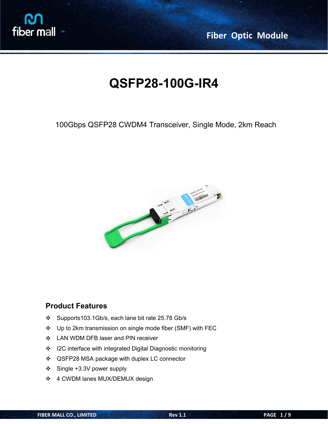

**Fiber Optic Module**

# **QSFP28-100G-IR4**

# 100Gbps QSFP28 CWDM4 Transceiver, Single Mode, 2km Reach



### **Product Features**

- Supports103.1Gb/s, each lane bit rate 25.78 Gb/s
- Up to 2km transmission on single mode fiber (SMF) with FEC
- ❖ LAN WDM DFB laser and PIN receiver
- ❖ I2C interface with integrated Digital Diagnostic monitoring
- ❖ QSFP28 MSA package with duplex LC connector
- Single +3.3V power supply
- ❖ 4 CWDM lanes MUX/DEMUX design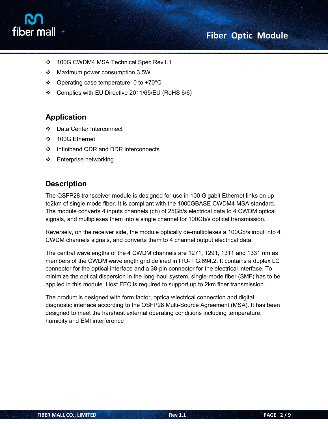# **Fiber Optic Module**



- 100G CWDM4 MSA Technical Spec Rev1.1
- ❖ Maximum power consumption 3.5W
- Operating case temperature: 0 to +70°C
- Complies with EU Directive 2011/65/EU (RoHS 6/6)

### **Application**

- Data Center Interconnect
- 100G Ethernet
- ❖ Infiniband QDR and DDR interconnects
- ❖ Enterprise networking

### **Description**

The QSFP28 transceiver module is designed for use in 100 Gigabit Ethernet links on up to2km of single mode fiber. It is compliant with the 1000GBASE CWDM4 MSA standard. The module converts 4 inputs channels (ch) of 25Gb/s electrical data to 4 CWDM optical signals, and multiplexes them into a single channel for 100Gb/s optical transmission.

Reversely, on the receiver side, the module optically de-multiplexes a 100Gb/s input into 4 CWDM channels signals, and converts them to 4 channel output electrical data.

The central wavelengths of the 4 CWDM channels are 1271, 1291, 1311 and 1331 nm as members of the CWDM wavelength grid defined in ITU-T G.694.2. It contains a duplex LC connector for the optical interface and a 38-pin connector for the electrical interface. To minimize the optical dispersion in the long-haul system, single-mode fiber (SMF) has to be applied in this module. Host FEC is required to support up to 2km fiber transmission.

The product is designed with form factor, optical/electrical connection and digital diagnostic interface according to the QSFP28 Multi-Source Agreement (MSA). It has been designed to meet the harshest external operating conditions including temperature, humidity and EMI interference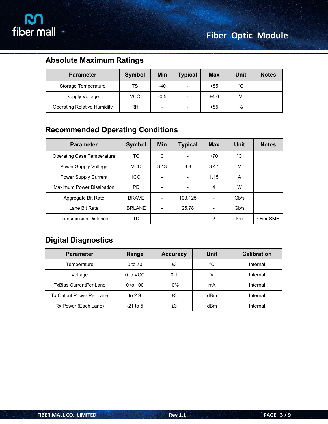

# **Absolute Maximum Ratings**

| <b>Parameter</b>                   | <b>Symbol</b> | Min                      | <b>Typical</b>           | <b>Max</b> | Unit | <b>Notes</b> |
|------------------------------------|---------------|--------------------------|--------------------------|------------|------|--------------|
| Storage Temperature                | TS            | $-40$                    | $\overline{\phantom{a}}$ | $+85$      | °C   |              |
| Supply Voltage                     | <b>VCC</b>    | $-0.5$                   | $\overline{\phantom{a}}$ | $+4.0$     |      |              |
| <b>Operating Relative Humidity</b> | <b>RH</b>     | $\overline{\phantom{a}}$ | -                        | $+85$      | $\%$ |              |

# **Recommended Operating Conditions**

| <b>Parameter</b>                  | Symbol        | <b>Min</b>               | <b>Typical</b>           | <b>Max</b>               | Unit | <b>Notes</b> |
|-----------------------------------|---------------|--------------------------|--------------------------|--------------------------|------|--------------|
| <b>Operating Case Temperature</b> | TC.           | 0                        | $\overline{\phantom{a}}$ | $+70$                    | °C   |              |
| Power Supply Voltage              | <b>VCC</b>    | 3.13                     | 3.3                      | 3.47                     | V    |              |
| Power Supply Current              | <b>ICC</b>    |                          | $\overline{\phantom{a}}$ | 1.15                     | A    |              |
| Maximum Power Dissipation         | PD.           |                          | $\overline{\phantom{a}}$ | 4                        | W    |              |
| Aggregate Bit Rate                | <b>BRAVE</b>  | $\overline{\phantom{0}}$ | 103.125                  | $\overline{\phantom{a}}$ | Gb/s |              |
| Lane Bit Rate                     | <b>BRLANE</b> | $\overline{\phantom{a}}$ | 25.78                    | $\overline{\phantom{a}}$ | Gb/s |              |
| <b>Transmission Distance</b>      | TD            |                          | $\overline{\phantom{a}}$ | 2                        | km   | Over SMF     |

# **Digital Diagnostics**

| <b>Parameter</b>              | Range        | <b>Accuracy</b> | <b>Unit</b> | <b>Calibration</b> |
|-------------------------------|--------------|-----------------|-------------|--------------------|
| Temperature                   | 0 to 70      | ±З              | °C          | Internal           |
| Voltage                       | 0 to VCC     | 0.1             |             | Internal           |
| <b>TxBias CurrentPer Lane</b> | $0$ to $100$ | 10%             | mA          | Internal           |
| Tx Output Power Per Lane      | to $2.9$     | ±3              | dBm         | Internal           |
| Rx Power (Each Lane)          | $-21$ to 5   | ±З              | dBm         | Internal           |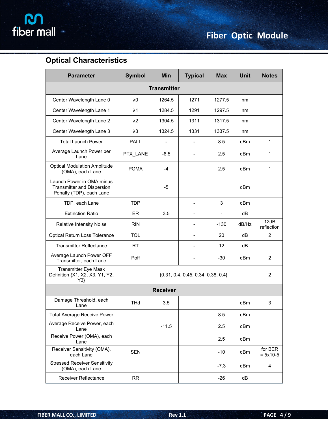# **Optical Characteristics**

| <b>Parameter</b>                                                                    | <b>Symbol</b> | Min                | <b>Typical</b>                       | <b>Max</b>     | <b>Unit</b> | <b>Notes</b>          |
|-------------------------------------------------------------------------------------|---------------|--------------------|--------------------------------------|----------------|-------------|-----------------------|
|                                                                                     |               | <b>Transmitter</b> |                                      |                |             |                       |
| Center Wavelength Lane 0                                                            | $\lambda 0$   | 1264.5             | 1271                                 | 1277.5         | nm          |                       |
| Center Wavelength Lane 1                                                            | $\lambda$ 1   | 1284.5             | 1291                                 | 1297.5         | nm          |                       |
| Center Wavelength Lane 2                                                            | $\lambda$ 2   | 1304.5             | 1311                                 | 1317.5         | nm          |                       |
| Center Wavelength Lane 3                                                            | $\lambda$ 3   | 1324.5             | 1331                                 | 1337.5         | nm          |                       |
| <b>Total Launch Power</b>                                                           | PALL          | $\overline{a}$     | $\overline{\phantom{a}}$             | 8.5            | dBm         | $\mathbf{1}$          |
| Average Launch Power per<br>Lane                                                    | PTX_LANE      | $-6.5$             | $\overline{\phantom{a}}$             | 2.5            | dBm         | 1                     |
| <b>Optical Modulation Amplitude</b><br>(OMA), each Lane                             | <b>POMA</b>   | $-4$               |                                      | 2.5            | dBm         | 1                     |
| Launch Power in OMA minus<br>Transmitter and Dispersion<br>Penalty (TDP), each Lane |               | $-5$               |                                      |                | dBm         |                       |
| TDP, each Lane                                                                      | <b>TDP</b>    |                    | $\blacksquare$                       | 3              | dBm         |                       |
| <b>Extinction Ratio</b>                                                             | ER            | 3.5                | $\blacksquare$                       | $\overline{a}$ | dB          |                       |
| <b>Relative Intensity Noise</b>                                                     | <b>RIN</b>    |                    | $\overline{\phantom{a}}$             | $-130$         | dB/Hz       | 12dB<br>reflection    |
| Optical Return Loss Tolerance                                                       | TOL           |                    | $\overline{a}$                       | 20             | dB          | $\overline{c}$        |
| <b>Transmitter Reflectance</b>                                                      | <b>RT</b>     |                    | $\overline{a}$                       | 12             | dB          |                       |
| Average Launch Power OFF<br>Transmitter, each Lane                                  | Poff          |                    |                                      |                | dBm         | $\overline{c}$        |
| <b>Transmitter Eye Mask</b><br>Definition {X1, X2, X3, Y1, Y2,<br>Y3                |               |                    | ${0.31, 0.4, 0.45, 0.34, 0.38, 0.4}$ |                |             | 2                     |
|                                                                                     |               | <b>Receiver</b>    |                                      |                |             |                       |
| Damage Threshold, each<br>Lane                                                      | <b>THd</b>    | 3.5                |                                      |                | dBm         | 3                     |
| <b>Total Average Receive Power</b>                                                  |               |                    |                                      | 8.5            | dBm         |                       |
| Average Receive Power, each<br>Lane                                                 |               | $-11.5$            |                                      | 2.5            | dBm         |                       |
| Receive Power (OMA), each<br>Lane                                                   |               |                    |                                      | 2.5            | dBm         |                       |
| Receiver Sensitivity (OMA),<br>each Lane                                            | <b>SEN</b>    |                    |                                      | $-10$          | dBm         | for BER<br>$= 5x10-5$ |
| <b>Stressed Receiver Sensitivity</b><br>(OMA), each Lane                            |               |                    |                                      | $-7.3$         | dBm         | 4                     |
| Receiver Reflectance                                                                | <b>RR</b>     |                    |                                      | $-26$          | dB          |                       |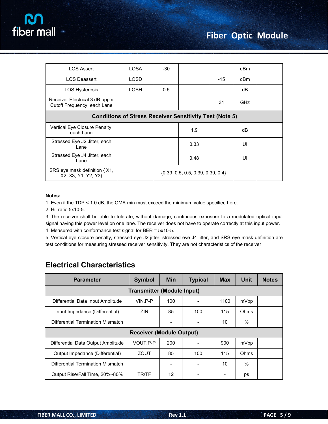

| <b>LOS Assert</b>                                              | <b>LOSA</b> | $-30$ |      |       | dBm        |  |  |
|----------------------------------------------------------------|-------------|-------|------|-------|------------|--|--|
| <b>LOS Deassert</b>                                            | LOSD        |       |      | $-15$ | dBm        |  |  |
| <b>LOS Hysteresis</b>                                          | LOSH        | 0.5   |      |       | dB         |  |  |
| Receiver Electrical 3 dB upper<br>Cutoff Frequency, each Lane  |             |       |      | 31    | <b>GHz</b> |  |  |
| <b>Conditions of Stress Receiver Sensitivity Test (Note 5)</b> |             |       |      |       |            |  |  |
| Vertical Eye Closure Penalty,<br>each Lane                     |             |       | 1.9  |       | dB         |  |  |
| Stressed Eye J2 Jitter, each<br>Lane                           |             |       | 0.33 |       | UI         |  |  |
| Stressed Eye J4 Jitter, each                                   |             |       |      |       |            |  |  |
| Lane                                                           |             |       | 0.48 |       | UI         |  |  |

#### **Notes:**

1. Even if the TDP < 1.0 dB, the OMA min must exceed the minimum value specified here.

2. Hit ratio 5x10-5.

3. The receiver shall be able to tolerate, without damage, continuous exposure to a modulated optical input signal having this power level on one lane. The receiver does not have to operate correctly at this input power. 4. Measured with conformance test signal for BER = 5x10-5.

5. Vertical eye closure penalty, stressed eye J2 jitter, stressed eye J4 jitter, and SRS eye mask definition are test conditions for measuring stressed receiver sensitivity. They are not characteristics of the receiver

## **Electrical Characteristics**

| <b>Parameter</b>                         | <b>Symbol</b>                     | <b>Min</b> | <b>Typical</b> | <b>Max</b> | Unit | <b>Notes</b> |  |
|------------------------------------------|-----------------------------------|------------|----------------|------------|------|--------------|--|
|                                          | <b>Transmitter (Module Input)</b> |            |                |            |      |              |  |
| Differential Data Input Amplitude        | $VIN, P-P$                        | 100        |                | 1100       | mVpp |              |  |
| Input Impedance (Differential)           | <b>ZIN</b>                        | 85         | 100            | 115        | Ohms |              |  |
| Differential Termination Mismatch        |                                   |            |                | 10         | %    |              |  |
| <b>Receiver (Module Output)</b>          |                                   |            |                |            |      |              |  |
| Differential Data Output Amplitude       | VOUT, P-P                         | 200        |                | 900        | mVpp |              |  |
| Output Impedance (Differential)          | ZOUT                              | 85         | 100            | 115        | Ohms |              |  |
| <b>Differential Termination Mismatch</b> |                                   |            |                | 10         | $\%$ |              |  |
| Output Rise/Fall Time, 20%~80%           | TR/TF                             | 12         |                |            | ps   |              |  |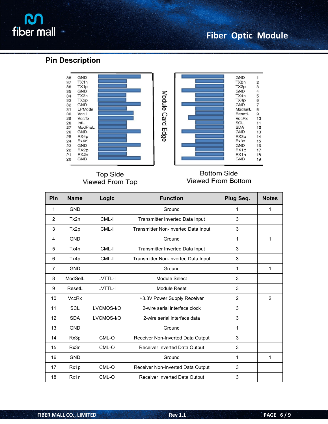# **R** fiber mall

# **Fiber Optic Module**

### **Pin Description**



**Top Side** Viewed From Top



#### **Bottom Side** Viewed From Bottom

| Pin            | <b>Name</b>  | Logic      | <b>Function</b>                     | Plug Seq.      | <b>Notes</b>   |
|----------------|--------------|------------|-------------------------------------|----------------|----------------|
| $\mathbf{1}$   | <b>GND</b>   |            | Ground                              | 1              | 1              |
| $\overline{2}$ | Tx2n         | CML-I      | Transmitter Inverted Data Input     | $\mathsf 3$    |                |
| $\mathfrak{S}$ | Tx2p         | CML-I      | Transmitter Non-Inverted Data Input | $\mathfrak{S}$ |                |
| 4              | <b>GND</b>   |            | Ground                              | 1              | 1              |
| $\overline{5}$ | Tx4n         | CML-I      | Transmitter Inverted Data Input     | 3              |                |
| 6              | Tx4p         | CML-I      | Transmitter Non-Inverted Data Input | 3              |                |
| $\overline{7}$ | <b>GND</b>   |            | Ground                              | 1              | 1              |
| 8              | ModSelL      | LVTTL-I    | Module Select                       | 3              |                |
| 9              | ResetL       | LVTTL-I    | Module Reset                        | 3              |                |
| 10             | <b>VccRx</b> |            | +3.3V Power Supply Receiver         | $\overline{2}$ | $\overline{2}$ |
| 11             | SCL          | LVCMOS-I/O | 2-wire serial interface clock       | 3              |                |
| 12             | <b>SDA</b>   | LVCMOS-I/O | 2-wire serial interface data        | 3              |                |
| 13             | <b>GND</b>   |            | Ground                              | 1              |                |
| 14             | Rx3p         | CML-O      | Receiver Non-Inverted Data Output   | $\mathsf 3$    |                |
| 15             | Rx3n         | CML-O      | Receiver Inverted Data Output       | 3              |                |
| 16             | <b>GND</b>   |            | Ground                              | 1              | 1              |
| 17             | Rx1p         | CML-O      | Receiver Non-Inverted Data Output   | 3              |                |
| 18             | Rx1n         | CML-O      | Receiver Inverted Data Output       | 3              |                |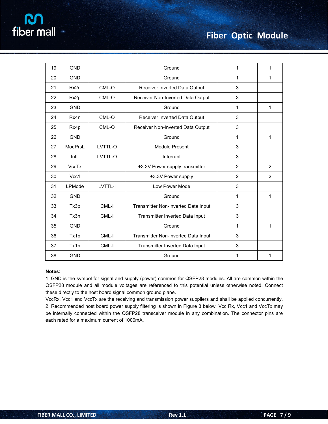| 19 | <b>GND</b>   |                | Ground                              | $\mathbf{1}$   | 1            |
|----|--------------|----------------|-------------------------------------|----------------|--------------|
| 20 | <b>GND</b>   |                | Ground                              | 1              | 1            |
| 21 | Rx2n         | CML-O          | Receiver Inverted Data Output       | 3              |              |
| 22 | Rx2p         | CML-O          | Receiver Non-Inverted Data Output   | 3              |              |
| 23 | <b>GND</b>   |                | Ground                              | 1              | $\mathbf{1}$ |
| 24 | Rx4n         | CML-O          | Receiver Inverted Data Output       | 3              |              |
| 25 | Rx4p         | CML-O          | Receiver Non-Inverted Data Output   | 3              |              |
| 26 | <b>GND</b>   |                | Ground                              | 1              | 1            |
| 27 | ModPrsL      | LVTTL-O        | Module Present                      | 3              |              |
| 28 | IntL         | LVTTL-O        | Interrupt                           | 3              |              |
| 29 | <b>VccTx</b> |                | +3.3V Power supply transmitter      | $\overline{2}$ | 2            |
| 30 | Vcc1         |                | +3.3V Power supply                  | $\overline{2}$ | 2            |
| 31 | LPMode       | <b>LVTTL-I</b> | Low Power Mode                      | 3              |              |
| 32 | <b>GND</b>   |                | Ground                              | 1              | $\mathbf{1}$ |
| 33 | Tx3p         | CML-I          | Transmitter Non-Inverted Data Input | 3              |              |
| 34 | Tx3n         | CML-I          | Transmitter Inverted Data Input     | 3              |              |
| 35 | <b>GND</b>   |                | Ground                              | 1              | 1            |
| 36 | Tx1p         | CML-I          | Transmitter Non-Inverted Data Input | 3              |              |
| 37 | Tx1n         | CML-I          | Transmitter Inverted Data Input     | 3              |              |
| 38 | <b>GND</b>   |                | Ground                              | 1              | 1            |

#### **Notes:**

1. GND is the symbol for signal and supply (power) common for QSFP28 modules. All are common within the QSFP28 module and all module voltages are referenced to this potential unless otherwise noted. Connect these directly to the host board signal common ground plane.

VccRx, Vcc1 and VccTx are the receiving and transmission power suppliers and shall be applied concurrently. 2. Recommended host board power supply filtering isshown in Figure 3 below. Vcc Rx, Vcc1 and VccTx may be internally connected within the QSFP28 transceiver module in any combination. The connector pins are each rated for a maximum current of 1000mA.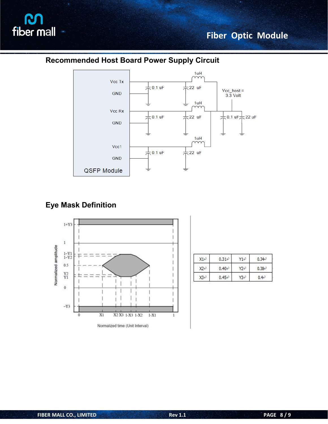

# **Recommended Host Board Power Supply Circuit**



### **Eye Mask Definition**



| X1e             | $0.31 +$ | Y1e  | $0.34 -$   |
|-----------------|----------|------|------------|
| $X2 \leftarrow$ | $0.40 +$ | Y2+2 | $0.38 +$   |
| X3+7            | $0.45 +$ | Ү3∉  | $0.4e^{7}$ |